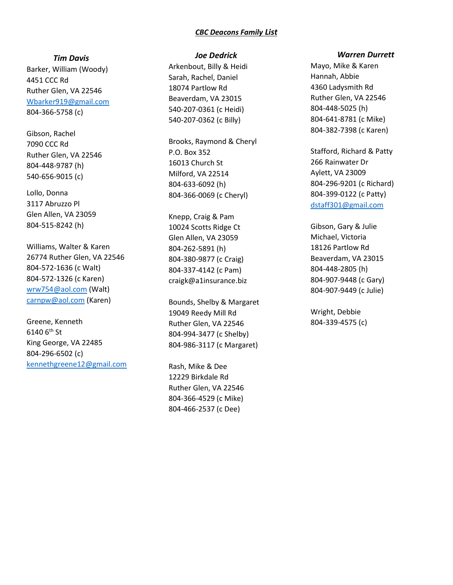### CBC Deacons Family List

Tim Davis

Barker, William (Woody) 4451 CCC Rd Ruther Glen, VA 22546 Wbarker919@gmail.com 804-366-5758 (c)

Gibson, Rachel 7090 CCC Rd Ruther Glen, VA 22546 804-448-9787 (h) 540-656-9015 (c)

Lollo, Donna 3117 Abruzzo Pl Glen Allen, VA 23059 804-515-8242 (h)

Williams, Walter & Karen 26774 Ruther Glen, VA 22546 804-572-1636 (c Walt) 804-572-1326 (c Karen) wrw754@aol.com (Walt) carnpw@aol.com (Karen)

Greene, Kenneth 6140  $6^{\text{th}}$  St King George, VA 22485 804-296-6502 (c) kennethgreene12@gmail.com

### Joe Dedrick

Arkenbout, Billy & Heidi Sarah, Rachel, Daniel 18074 Partlow Rd Beaverdam, VA 23015 540-207-0361 (c Heidi) 540-207-0362 (c Billy)

Brooks, Raymond & Cheryl P.O. Box 352 16013 Church St Milford, VA 22514 804-633-6092 (h) 804-366-0069 (c Cheryl)

Knepp, Craig & Pam 10024 Scotts Ridge Ct Glen Allen, VA 23059 804-262-5891 (h) 804-380-9877 (c Craig) 804-337-4142 (c Pam) craigk@a1insurance.biz

Bounds, Shelby & Margaret 19049 Reedy Mill Rd Ruther Glen, VA 22546 804-994-3477 (c Shelby) 804-986-3117 (c Margaret)

Rash, Mike & Dee 12229 Birkdale Rd Ruther Glen, VA 22546 804-366-4529 (c Mike) 804-466-2537 (c Dee)

#### Warren Durrett

Mayo, Mike & Karen Hannah, Abbie 4360 Ladysmith Rd Ruther Glen, VA 22546 804-448-5025 (h) 804-641-8781 (c Mike) 804-382-7398 (c Karen)

Stafford, Richard & Patty 266 Rainwater Dr Aylett, VA 23009 804-296-9201 (c Richard) 804-399-0122 (c Patty) dstaff301@gmail.com

Gibson, Gary & Julie Michael, Victoria 18126 Partlow Rd Beaverdam, VA 23015 804-448-2805 (h) 804-907-9448 (c Gary) 804-907-9449 (c Julie)

Wright, Debbie 804-339-4575 (c)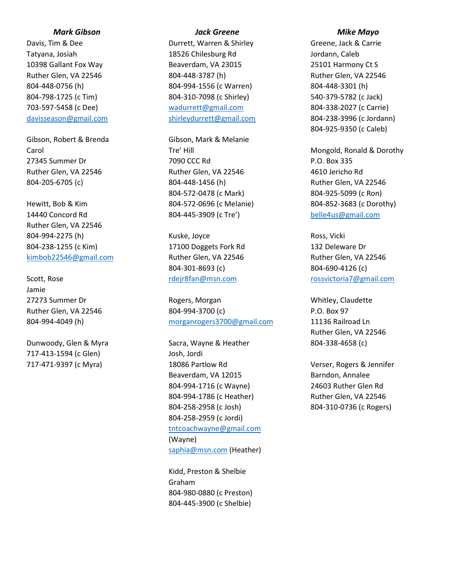# Mark Gibson

Davis, Tim & Dee Tatyana, Josiah 10398 Gallant Fox Way Ruther Glen, VA 22546 804-448-0756 (h) 804-798-1725 (c Tim) 703-597-5458 (c Dee) davisseason@gmail.com

Gibson, Robert & Brenda Carol 27345 Summer Dr Ruther Glen, VA 22546 804-205-6705 (c)

Hewitt, Bob & Kim 14440 Concord Rd Ruther Glen, VA 22546 804-994-2275 (h) 804-238-1255 (c Kim) kimbob22546@gmail.com

Scott, Rose Jamie 27273 Summer Dr Ruther Glen, VA 22546 804-994-4049 (h)

Dunwoody, Glen & Myra 717-413-1594 (c Glen) 717-471-9397 (c Myra)

## Jack Greene

Durrett, Warren & Shirley 18526 Chilesburg Rd Beaverdam, VA 23015 804-448-3787 (h) 804-994-1556 (c Warren) 804-310-7098 (c Shirley) wadurrett@gmail.com shirleydurrett@gmail.com

Gibson, Mark & Melanie Tre' Hill 7090 CCC Rd Ruther Glen, VA 22546 804-448-1456 (h) 804-572-0478 (c Mark) 804-572-0696 (c Melanie) 804-445-3909 (c Tre')

Kuske, Joyce 17100 Doggets Fork Rd Ruther Glen, VA 22546 804-301-8693 (c) rdejr8fan@msn.com

Rogers, Morgan 804-994-3700 (c) morganrogers3700@gmail.com

Sacra, Wayne & Heather Josh, Jordi 18086 Partlow Rd Beaverdam, VA 12015 804-994-1716 (c Wayne) 804-994-1786 (c Heather) 804-258-2958 (c Josh) 804-258-2959 (c Jordi) tntcoachwayne@gmail.com (Wayne) saphia@msn.com (Heather)

Kidd, Preston & Shelbie Graham 804-980-0880 (c Preston) 804-445-3900 (c Shelbie)

#### Mike Mayo

Greene, Jack & Carrie Jordann, Caleb 25101 Harmony Ct S Ruther Glen, VA 22546 804-448-3301 (h) 540-379-5782 (c Jack) 804-338-2027 (c Carrie) 804-238-3996 (c Jordann) 804-925-9350 (c Caleb)

Mongold, Ronald & Dorothy P.O. Box 335 4610 Jericho Rd Ruther Glen, VA 22546 804-925-5099 (c Ron) 804-852-3683 (c Dorothy) belle4us@gmail.com

Ross, Vicki 132 Deleware Dr Ruther Glen, VA 22546 804-690-4126 (c) rossvictoria7@gmail.com

Whitley, Claudette P.O. Box 97 11136 Railroad Ln Ruther Glen, VA 22546 804-338-4658 (c)

Verser, Rogers & Jennifer Barndon, Annalee 24603 Ruther Glen Rd Ruther Glen, VA 22546 804-310-0736 (c Rogers)